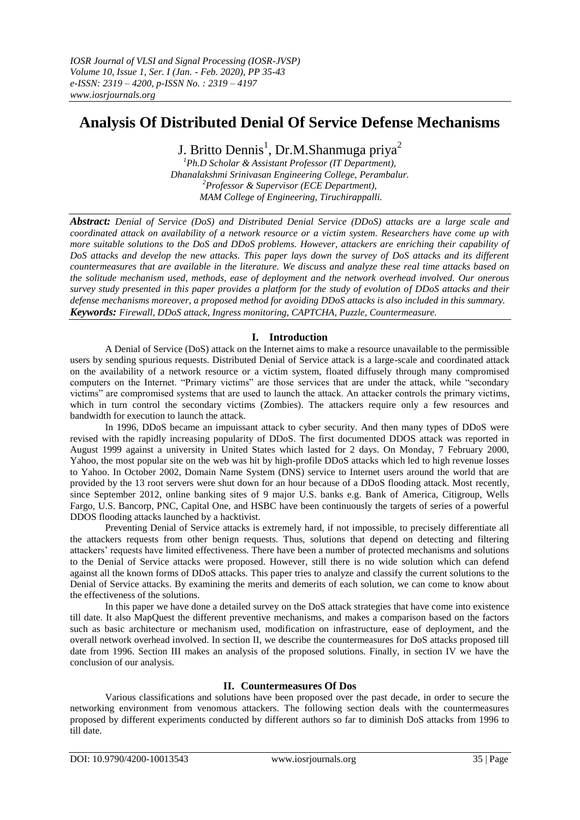# **Analysis Of Distributed Denial Of Service Defense Mechanisms**

J. Britto Dennis<sup>1</sup>, Dr.M.Shanmuga priya<sup>2</sup>

*<sup>1</sup>Ph.D Scholar & Assistant Professor (IT Department), Dhanalakshmi Srinivasan Engineering College, Perambalur. <sup>2</sup>Professor & Supervisor (ECE Department), MAM College of Engineering, Tiruchirappalli.*

*Abstract: Denial of Service (DoS) and Distributed Denial Service (DDoS) attacks are a large scale and coordinated attack on availability of a network resource or a victim system. Researchers have come up with more suitable solutions to the DoS and DDoS problems. However, attackers are enriching their capability of DoS attacks and develop the new attacks. This paper lays down the survey of DoS attacks and its different countermeasures that are available in the literature. We discuss and analyze these real time attacks based on the solitude mechanism used, methods, ease of deployment and the network overhead involved. Our onerous survey study presented in this paper provides a platform for the study of evolution of DDoS attacks and their defense mechanisms moreover, a proposed method for avoiding DDoS attacks is also included in this summary. Keywords: Firewall, DDoS attack, Ingress monitoring, CAPTCHA, Puzzle, Countermeasure.*

# **I. Introduction**

A Denial of Service (DoS) attack on the Internet aims to make a resource unavailable to the permissible users by sending spurious requests. Distributed Denial of Service attack is a large-scale and coordinated attack on the availability of a network resource or a victim system, floated diffusely through many compromised computers on the Internet. "Primary victims" are those services that are under the attack, while "secondary victims" are compromised systems that are used to launch the attack. An attacker controls the primary victims, which in turn control the secondary victims (Zombies). The attackers require only a few resources and bandwidth for execution to launch the attack.

In 1996, DDoS became an impuissant attack to cyber security. And then many types of DDoS were revised with the rapidly increasing popularity of DDoS. The first documented DDOS attack was reported in August 1999 against a university in United States which lasted for 2 days. On Monday, 7 February 2000, Yahoo, the most popular site on the web was hit by high-profile DDoS attacks which led to high revenue losses to Yahoo. In October 2002, Domain Name System (DNS) service to Internet users around the world that are provided by the 13 root servers were shut down for an hour because of a DDoS flooding attack. Most recently, since September 2012, online banking sites of 9 major U.S. banks e.g. Bank of America, Citigroup, Wells Fargo, U.S. Bancorp, PNC, Capital One, and HSBC have been continuously the targets of series of a powerful DDOS flooding attacks launched by a hacktivist.

Preventing Denial of Service attacks is extremely hard, if not impossible, to precisely differentiate all the attackers requests from other benign requests. Thus, solutions that depend on detecting and filtering attackers' requests have limited effectiveness. There have been a number of protected mechanisms and solutions to the Denial of Service attacks were proposed. However, still there is no wide solution which can defend against all the known forms of DDoS attacks. This paper tries to analyze and classify the current solutions to the Denial of Service attacks. By examining the merits and demerits of each solution, we can come to know about the effectiveness of the solutions.

In this paper we have done a detailed survey on the DoS attack strategies that have come into existence till date. It also MapQuest the different preventive mechanisms, and makes a comparison based on the factors such as basic architecture or mechanism used, modification on infrastructure, ease of deployment, and the overall network overhead involved. In section II, we describe the countermeasures for DoS attacks proposed till date from 1996. Section III makes an analysis of the proposed solutions. Finally, in section IV we have the conclusion of our analysis.

# **II. Countermeasures Of Dos**

Various classifications and solutions have been proposed over the past decade, in order to secure the networking environment from venomous attackers. The following section deals with the countermeasures proposed by different experiments conducted by different authors so far to diminish DoS attacks from 1996 to till date.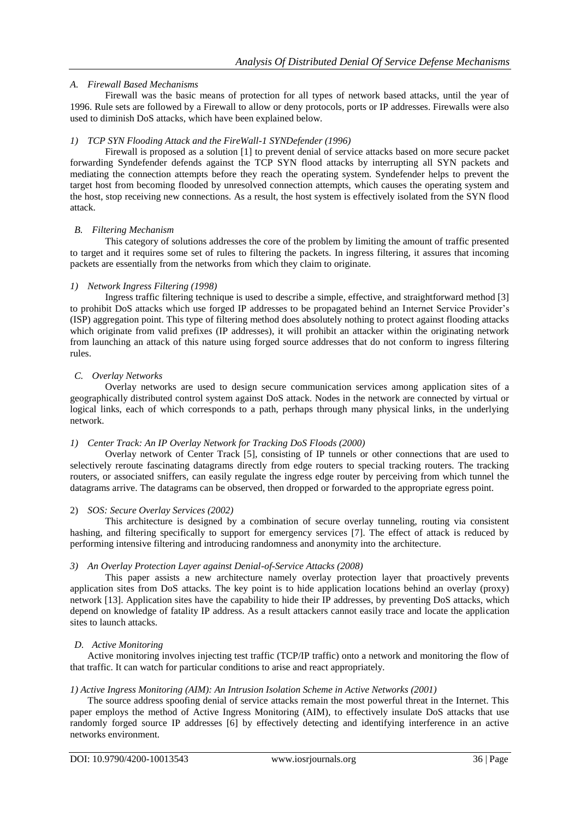# *A. Firewall Based Mechanisms*

Firewall was the basic means of protection for all types of network based attacks, until the year of 1996. Rule sets are followed by a Firewall to allow or deny protocols, ports or IP addresses. Firewalls were also used to diminish DoS attacks, which have been explained below.

# *1) TCP SYN Flooding Attack and the FireWall-1 SYNDefender (1996)*

Firewall is proposed as a solution [1] to prevent denial of service attacks based on more secure packet forwarding Syndefender defends against the TCP SYN flood attacks by interrupting all SYN packets and mediating the connection attempts before they reach the operating system. Syndefender helps to prevent the target host from becoming flooded by unresolved connection attempts, which causes the operating system and the host, stop receiving new connections. As a result, the host system is effectively isolated from the SYN flood attack.

# *B. Filtering Mechanism*

This category of solutions addresses the core of the problem by limiting the amount of traffic presented to target and it requires some set of rules to filtering the packets. In ingress filtering, it assures that incoming packets are essentially from the networks from which they claim to originate.

# *1) Network Ingress Filtering (1998)*

Ingress traffic filtering technique is used to describe a simple, effective, and straightforward method [3] to prohibit DoS attacks which use forged IP addresses to be propagated behind an Internet Service Provider's (ISP) aggregation point. This type of filtering method does absolutely nothing to protect against flooding attacks which originate from valid prefixes (IP addresses), it will prohibit an attacker within the originating network from launching an attack of this nature using forged source addresses that do not conform to ingress filtering rules.

# *C. Overlay Networks*

Overlay networks are used to design secure communication services among application sites of a geographically distributed control system against DoS attack. Nodes in the network are connected by virtual or logical links, each of which corresponds to a path, perhaps through many physical links, in the underlying network.

# *1) Center Track: An IP Overlay Network for Tracking DoS Floods (2000)*

Overlay network of Center Track [5], consisting of IP tunnels or other connections that are used to selectively reroute fascinating datagrams directly from edge routers to special tracking routers. The tracking routers, or associated sniffers, can easily regulate the ingress edge router by perceiving from which tunnel the datagrams arrive. The datagrams can be observed, then dropped or forwarded to the appropriate egress point.

# 2) *SOS: Secure Overlay Services (2002)*

This architecture is designed by a combination of secure overlay tunneling, routing via consistent hashing, and filtering specifically to support for emergency services [7]. The effect of attack is reduced by performing intensive filtering and introducing randomness and anonymity into the architecture.

# *3) An Overlay Protection Layer against Denial-of-Service Attacks (2008)*

This paper assists a new architecture namely overlay protection layer that proactively prevents application sites from DoS attacks. The key point is to hide application locations behind an overlay (proxy) network [13]. Application sites have the capability to hide their IP addresses, by preventing DoS attacks, which depend on knowledge of fatality IP address. As a result attackers cannot easily trace and locate the application sites to launch attacks.

# *D. Active Monitoring*

Active monitoring involves injecting test traffic (TCP/IP traffic) onto a network and monitoring the flow of that traffic. It can watch for particular conditions to arise and react appropriately.

# *1) Active Ingress Monitoring (AIM): An Intrusion Isolation Scheme in Active Networks (2001)*

The source address spoofing denial of service attacks remain the most powerful threat in the Internet. This paper employs the method of Active Ingress Monitoring (AIM), to effectively insulate DoS attacks that use randomly forged source IP addresses [6] by effectively detecting and identifying interference in an active networks environment.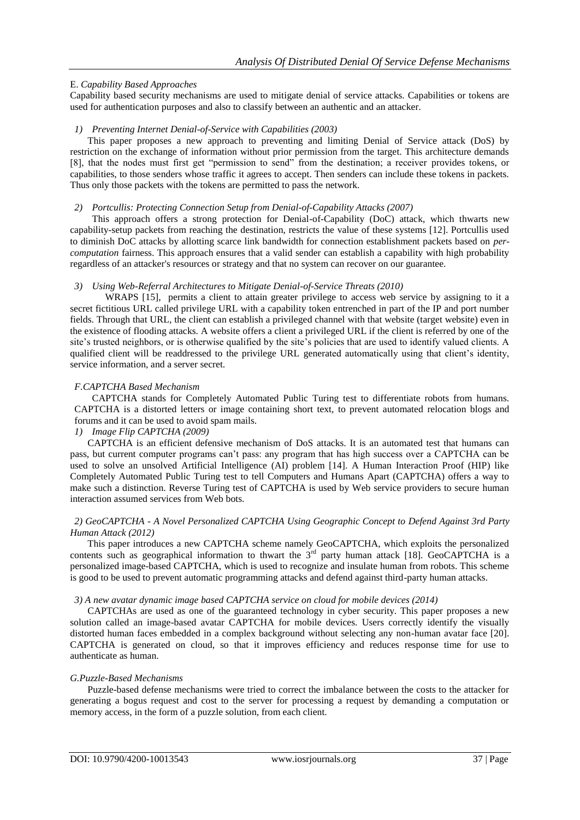# E. *Capability Based Approaches*

Capability based security mechanisms are used to mitigate denial of service attacks. Capabilities or tokens are used for authentication purposes and also to classify between an authentic and an attacker.

# *1) Preventing Internet Denial-of-Service with Capabilities (2003)*

This paper proposes a new approach to preventing and limiting Denial of Service attack (DoS) by restriction on the exchange of information without prior permission from the target. This architecture demands [8], that the nodes must first get "permission to send" from the destination; a receiver provides tokens, or capabilities, to those senders whose traffic it agrees to accept. Then senders can include these tokens in packets. Thus only those packets with the tokens are permitted to pass the network.

# *2) Portcullis: Protecting Connection Setup from Denial-of-Capability Attacks (2007)*

This approach offers a strong protection for Denial-of-Capability (DoC) attack, which thwarts new capability-setup packets from reaching the destination, restricts the value of these systems [12]. Portcullis used to diminish DoC attacks by allotting scarce link bandwidth for connection establishment packets based on *percomputation* fairness. This approach ensures that a valid sender can establish a capability with high probability regardless of an attacker's resources or strategy and that no system can recover on our guarantee.

# *3) Using Web-Referral Architectures to Mitigate Denial-of-Service Threats (2010)*

WRAPS [15], permits a client to attain greater privilege to access web service by assigning to it a secret fictitious URL called privilege URL with a capability token entrenched in part of the IP and port number fields. Through that URL, the client can establish a privileged channel with that website (target website) even in the existence of flooding attacks. A website offers a client a privileged URL if the client is referred by one of the site's trusted neighbors, or is otherwise qualified by the site's policies that are used to identify valued clients. A qualified client will be readdressed to the privilege URL generated automatically using that client's identity, service information, and a server secret.

# *F.CAPTCHA Based Mechanism*

CAPTCHA stands for Completely Automated Public Turing test to differentiate robots from humans. CAPTCHA is a distorted letters or image containing short text, to prevent automated relocation blogs and forums and it can be used to avoid spam mails.

# *1) Image Flip CAPTCHA (2009)*

CAPTCHA is an efficient defensive mechanism of DoS attacks. It is an automated test that humans can pass, but current computer programs can't pass: any program that has high success over a CAPTCHA can be used to solve an unsolved Artificial Intelligence (AI) problem [14]. A Human Interaction Proof (HIP) like Completely Automated Public Turing test to tell Computers and Humans Apart (CAPTCHA) offers a way to make such a distinction. Reverse Turing test of CAPTCHA is used by Web service providers to secure human interaction assumed services from Web bots.

# *2) GeoCAPTCHA - A Novel Personalized CAPTCHA Using Geographic Concept to Defend Against 3rd Party Human Attack (2012)*

This paper introduces a new CAPTCHA scheme namely GeoCAPTCHA, which exploits the personalized contents such as geographical information to thwart the  $3<sup>rd</sup>$  party human attack [18]. GeoCAPTCHA is a personalized image-based CAPTCHA, which is used to recognize and insulate human from robots. This scheme is good to be used to prevent automatic programming attacks and defend against third-party human attacks.

# *3) A new avatar dynamic image based CAPTCHA service on cloud for mobile devices (2014)*

CAPTCHAs are used as one of the guaranteed technology in cyber security. This paper proposes a new solution called an image-based avatar CAPTCHA for mobile devices. Users correctly identify the visually distorted human faces embedded in a complex background without selecting any non-human avatar face [20]. CAPTCHA is generated on cloud, so that it improves efficiency and reduces response time for use to authenticate as human.

# *G.Puzzle-Based Mechanisms*

Puzzle-based defense mechanisms were tried to correct the imbalance between the costs to the attacker for generating a bogus request and cost to the server for processing a request by demanding a computation or memory access, in the form of a puzzle solution, from each client.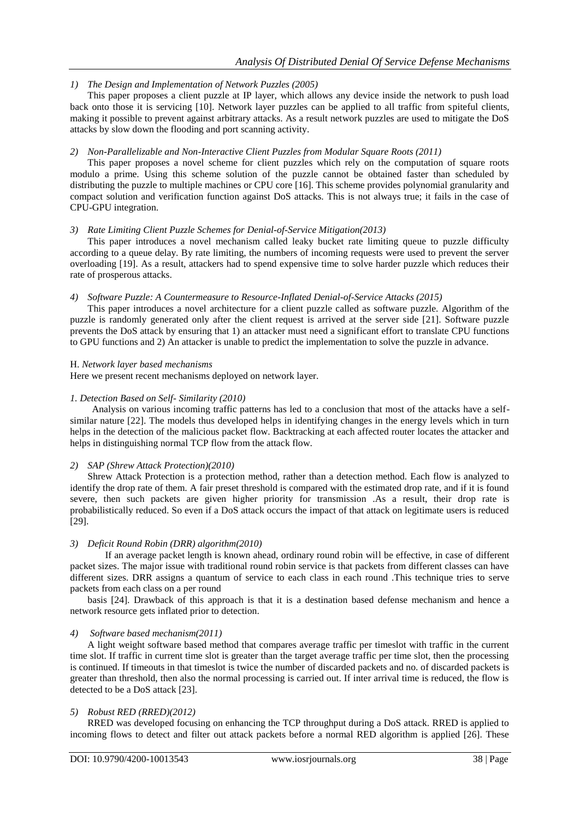# *1) The Design and Implementation of Network Puzzles (2005)*

This paper proposes a client puzzle at IP layer, which allows any device inside the network to push load back onto those it is servicing [10]. Network layer puzzles can be applied to all traffic from spiteful clients, making it possible to prevent against arbitrary attacks. As a result network puzzles are used to mitigate the DoS attacks by slow down the flooding and port scanning activity.

# *2) Non-Parallelizable and Non-Interactive Client Puzzles from Modular Square Roots (2011)*

This paper proposes a novel scheme for client puzzles which rely on the computation of square roots modulo a prime. Using this scheme solution of the puzzle cannot be obtained faster than scheduled by distributing the puzzle to multiple machines or CPU core [16]. This scheme provides polynomial granularity and compact solution and verification function against DoS attacks. This is not always true; it fails in the case of CPU-GPU integration.

# *3) Rate Limiting Client Puzzle Schemes for Denial-of-Service Mitigation(2013)*

This paper introduces a novel mechanism called leaky bucket rate limiting queue to puzzle difficulty according to a queue delay. By rate limiting, the numbers of incoming requests were used to prevent the server overloading [19]. As a result, attackers had to spend expensive time to solve harder puzzle which reduces their rate of prosperous attacks.

# *4) Software Puzzle: A Countermeasure to Resource-Inflated Denial-of-Service Attacks (2015)*

This paper introduces a novel architecture for a client puzzle called as software puzzle. Algorithm of the puzzle is randomly generated only after the client request is arrived at the server side [21]. Software puzzle prevents the DoS attack by ensuring that 1) an attacker must need a significant effort to translate CPU functions to GPU functions and 2) An attacker is unable to predict the implementation to solve the puzzle in advance.

#### H. *Network layer based mechanisms*

Here we present recent mechanisms deployed on network layer.

#### *1. Detection Based on Self- Similarity (2010)*

Analysis on various incoming traffic patterns has led to a conclusion that most of the attacks have a selfsimilar nature [22]. The models thus developed helps in identifying changes in the energy levels which in turn helps in the detection of the malicious packet flow. Backtracking at each affected router locates the attacker and helps in distinguishing normal TCP flow from the attack flow.

# *2) SAP (Shrew Attack Protection)(2010)*

Shrew Attack Protection is a protection method, rather than a detection method. Each flow is analyzed to identify the drop rate of them. A fair preset threshold is compared with the estimated drop rate, and if it is found severe, then such packets are given higher priority for transmission .As a result, their drop rate is probabilistically reduced. So even if a DoS attack occurs the impact of that attack on legitimate users is reduced [29].

# *3) Deficit Round Robin (DRR) algorithm(2010)*

If an average packet length is known ahead, ordinary round robin will be effective, in case of different packet sizes. The major issue with traditional round robin service is that packets from different classes can have different sizes. DRR assigns a quantum of service to each class in each round .This technique tries to serve packets from each class on a per round

basis [24]. Drawback of this approach is that it is a destination based defense mechanism and hence a network resource gets inflated prior to detection.

# *4) Software based mechanism(2011)*

A light weight software based method that compares average traffic per timeslot with traffic in the current time slot. If traffic in current time slot is greater than the target average traffic per time slot, then the processing is continued. If timeouts in that timeslot is twice the number of discarded packets and no. of discarded packets is greater than threshold, then also the normal processing is carried out. If inter arrival time is reduced, the flow is detected to be a DoS attack [23].

# *5) Robust RED (RRED)(2012)*

RRED was developed focusing on enhancing the TCP throughput during a DoS attack. RRED is applied to incoming flows to detect and filter out attack packets before a normal RED algorithm is applied [26]. These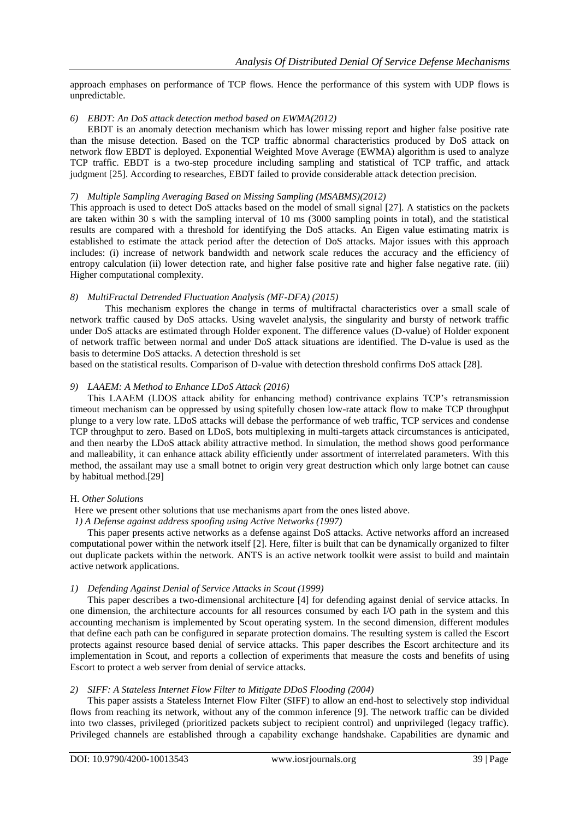approach emphases on performance of TCP flows. Hence the performance of this system with UDP flows is unpredictable.

# *6) EBDT: An DoS attack detection method based on EWMA(2012)*

EBDT is an anomaly detection mechanism which has lower missing report and higher false positive rate than the misuse detection. Based on the TCP traffic abnormal characteristics produced by DoS attack on network flow EBDT is deployed. Exponential Weighted Move Average (EWMA) algorithm is used to analyze TCP traffic. EBDT is a two-step procedure including sampling and statistical of TCP traffic, and attack judgment [25]. According to researches, EBDT failed to provide considerable attack detection precision.

# *7) Multiple Sampling Averaging Based on Missing Sampling (MSABMS)(2012)*

This approach is used to detect DoS attacks based on the model of small signal [27]. A statistics on the packets are taken within 30 s with the sampling interval of 10 ms (3000 sampling points in total), and the statistical results are compared with a threshold for identifying the DoS attacks. An Eigen value estimating matrix is established to estimate the attack period after the detection of DoS attacks. Major issues with this approach includes: (i) increase of network bandwidth and network scale reduces the accuracy and the efficiency of entropy calculation (ii) lower detection rate, and higher false positive rate and higher false negative rate. (iii) Higher computational complexity.

# *8) MultiFractal Detrended Fluctuation Analysis (MF-DFA) (2015)*

This mechanism explores the change in terms of multifractal characteristics over a small scale of network traffic caused by DoS attacks. Using wavelet analysis, the singularity and bursty of network traffic under DoS attacks are estimated through Holder exponent. The difference values (D-value) of Holder exponent of network traffic between normal and under DoS attack situations are identified. The D-value is used as the basis to determine DoS attacks. A detection threshold is set

based on the statistical results. Comparison of D-value with detection threshold confirms DoS attack [28].

# *9) LAAEM: A Method to Enhance LDoS Attack (2016)*

This LAAEM (LDOS attack ability for enhancing method) contrivance explains TCP's retransmission timeout mechanism can be oppressed by using spitefully chosen low-rate attack flow to make TCP throughput plunge to a very low rate. LDoS attacks will debase the performance of web traffic, TCP services and condense TCP throughput to zero. Based on LDoS, bots multiplexing in multi-targets attack circumstances is anticipated, and then nearby the LDoS attack ability attractive method. In simulation, the method shows good performance and malleability, it can enhance attack ability efficiently under assortment of interrelated parameters. With this method, the assailant may use a small botnet to origin very great destruction which only large botnet can cause by habitual method.[29]

# H. *Other Solutions*

Here we present other solutions that use mechanisms apart from the ones listed above.

# *1) A Defense against address spoofing using Active Networks (1997)*

This paper presents active networks as a defense against DoS attacks. Active networks afford an increased computational power within the network itself [2]. Here, filter is built that can be dynamically organized to filter out duplicate packets within the network. ANTS is an active network toolkit were assist to build and maintain active network applications.

# *1) Defending Against Denial of Service Attacks in Scout (1999)*

This paper describes a two-dimensional architecture [4] for defending against denial of service attacks. In one dimension, the architecture accounts for all resources consumed by each I/O path in the system and this accounting mechanism is implemented by Scout operating system. In the second dimension, different modules that define each path can be configured in separate protection domains. The resulting system is called the Escort protects against resource based denial of service attacks. This paper describes the Escort architecture and its implementation in Scout, and reports a collection of experiments that measure the costs and benefits of using Escort to protect a web server from denial of service attacks.

# *2) SIFF: A Stateless Internet Flow Filter to Mitigate DDoS Flooding (2004)*

This paper assists a Stateless Internet Flow Filter (SIFF) to allow an end-host to selectively stop individual flows from reaching its network, without any of the common inference [9]. The network traffic can be divided into two classes, privileged (prioritized packets subject to recipient control) and unprivileged (legacy traffic). Privileged channels are established through a capability exchange handshake. Capabilities are dynamic and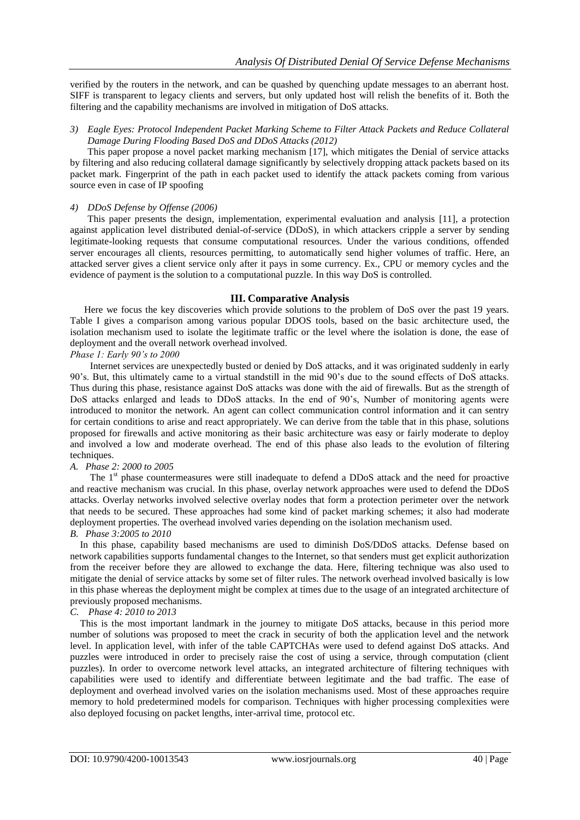verified by the routers in the network, and can be quashed by quenching update messages to an aberrant host. SIFF is transparent to legacy clients and servers, but only updated host will relish the benefits of it. Both the filtering and the capability mechanisms are involved in mitigation of DoS attacks.

# *3) Eagle Eyes: Protocol Independent Packet Marking Scheme to Filter Attack Packets and Reduce Collateral Damage During Flooding Based DoS and DDoS Attacks (2012)*

This paper propose a novel packet marking mechanism [17], which mitigates the Denial of service attacks by filtering and also reducing collateral damage significantly by selectively dropping attack packets based on its packet mark. Fingerprint of the path in each packet used to identify the attack packets coming from various source even in case of IP spoofing

#### *4) DDoS Defense by Offense (2006)*

This paper presents the design, implementation, experimental evaluation and analysis [11], a protection against application level distributed denial-of-service (DDoS), in which attackers cripple a server by sending legitimate-looking requests that consume computational resources. Under the various conditions, offended server encourages all clients, resources permitting, to automatically send higher volumes of traffic. Here, an attacked server gives a client service only after it pays in some currency. Ex., CPU or memory cycles and the evidence of payment is the solution to a computational puzzle. In this way DoS is controlled.

# **III. Comparative Analysis**

Here we focus the key discoveries which provide solutions to the problem of DoS over the past 19 years. Table I gives a comparison among various popular DDOS tools, based on the basic architecture used, the isolation mechanism used to isolate the legitimate traffic or the level where the isolation is done, the ease of deployment and the overall network overhead involved.

# *Phase 1: Early 90's to 2000*

Internet services are unexpectedly busted or denied by DoS attacks, and it was originated suddenly in early 90's. But, this ultimately came to a virtual standstill in the mid 90's due to the sound effects of DoS attacks. Thus during this phase, resistance against DoS attacks was done with the aid of firewalls. But as the strength of DoS attacks enlarged and leads to DDoS attacks. In the end of 90's, Number of monitoring agents were introduced to monitor the network. An agent can collect communication control information and it can sentry for certain conditions to arise and react appropriately. We can derive from the table that in this phase, solutions proposed for firewalls and active monitoring as their basic architecture was easy or fairly moderate to deploy and involved a low and moderate overhead. The end of this phase also leads to the evolution of filtering techniques.

# *A. Phase 2: 2000 to 2005*

The 1<sup>st</sup> phase countermeasures were still inadequate to defend a DDoS attack and the need for proactive and reactive mechanism was crucial. In this phase, overlay network approaches were used to defend the DDoS attacks. Overlay networks involved selective overlay nodes that form a protection perimeter over the network that needs to be secured. These approaches had some kind of packet marking schemes; it also had moderate deployment properties. The overhead involved varies depending on the isolation mechanism used.

# *B. Phase 3:2005 to 2010*

In this phase, capability based mechanisms are used to diminish DoS/DDoS attacks. Defense based on network capabilities supports fundamental changes to the Internet, so that senders must get explicit authorization from the receiver before they are allowed to exchange the data. Here, filtering technique was also used to mitigate the denial of service attacks by some set of filter rules. The network overhead involved basically is low in this phase whereas the deployment might be complex at times due to the usage of an integrated architecture of previously proposed mechanisms.

# *C. Phase 4: 2010 to 2013*

This is the most important landmark in the journey to mitigate DoS attacks, because in this period more number of solutions was proposed to meet the crack in security of both the application level and the network level. In application level, with infer of the table CAPTCHAs were used to defend against DoS attacks. And puzzles were introduced in order to precisely raise the cost of using a service, through computation (client puzzles). In order to overcome network level attacks, an integrated architecture of filtering techniques with capabilities were used to identify and differentiate between legitimate and the bad traffic. The ease of deployment and overhead involved varies on the isolation mechanisms used. Most of these approaches require memory to hold predetermined models for comparison. Techniques with higher processing complexities were also deployed focusing on packet lengths, inter-arrival time, protocol etc.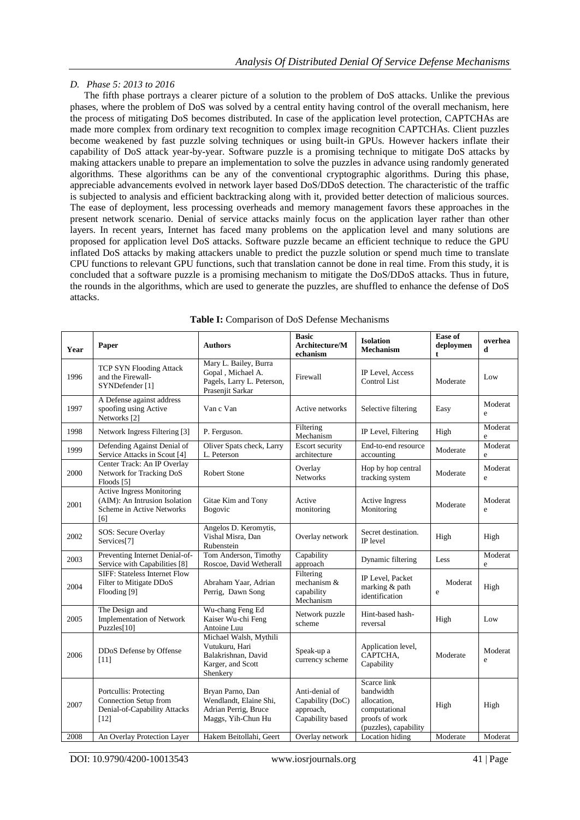# *D. Phase 5: 2013 to 2016*

The fifth phase portrays a clearer picture of a solution to the problem of DoS attacks. Unlike the previous phases, where the problem of DoS was solved by a central entity having control of the overall mechanism, here the process of mitigating DoS becomes distributed. In case of the application level protection, CAPTCHAs are made more complex from ordinary text recognition to complex image recognition CAPTCHAs. Client puzzles become weakened by fast puzzle solving techniques or using built-in GPUs. However hackers inflate their capability of DoS attack year-by-year. Software puzzle is a promising technique to mitigate DoS attacks by making attackers unable to prepare an implementation to solve the puzzles in advance using randomly generated algorithms. These algorithms can be any of the conventional cryptographic algorithms. During this phase, appreciable advancements evolved in network layer based DoS/DDoS detection. The characteristic of the traffic is subjected to analysis and efficient backtracking along with it, provided better detection of malicious sources. The ease of deployment, less processing overheads and memory management favors these approaches in the present network scenario. Denial of service attacks mainly focus on the application layer rather than other layers. In recent years, Internet has faced many problems on the application level and many solutions are proposed for application level DoS attacks. Software puzzle became an efficient technique to reduce the GPU inflated DoS attacks by making attackers unable to predict the puzzle solution or spend much time to translate CPU functions to relevant GPU functions, such that translation cannot be done in real time. From this study, it is concluded that a software puzzle is a promising mechanism to mitigate the DoS/DDoS attacks. Thus in future, the rounds in the algorithms, which are used to generate the puzzles, are shuffled to enhance the defense of DoS attacks.

| Year | Paper                                                                                                 | <b>Authors</b>                                                                                   | <b>Basic</b><br>Architecture/M<br>echanism                          | <b>Isolation</b><br><b>Mechanism</b>                                                                | <b>Ease of</b><br>deploymen<br>t | overhea<br>d |
|------|-------------------------------------------------------------------------------------------------------|--------------------------------------------------------------------------------------------------|---------------------------------------------------------------------|-----------------------------------------------------------------------------------------------------|----------------------------------|--------------|
| 1996 | TCP SYN Flooding Attack<br>and the Firewall-<br>SYNDefender [1]                                       | Mary L. Bailey, Burra<br>Gopal, Michael A.<br>Pagels, Larry L. Peterson,<br>Prasenjit Sarkar     | Firewall                                                            | IP Level, Access<br>Control List                                                                    | Moderate                         | Low          |
| 1997 | A Defense against address<br>spoofing using Active<br>Networks <sup>[2]</sup>                         | Van c Van                                                                                        | Active networks                                                     | Selective filtering                                                                                 | Easy                             | Moderat<br>e |
| 1998 | Network Ingress Filtering [3]                                                                         | P. Ferguson.                                                                                     | Filtering<br>Mechanism                                              | IP Level, Filtering                                                                                 | High                             | Moderat<br>e |
| 1999 | Defending Against Denial of<br>Service Attacks in Scout [4]                                           | Oliver Spats check, Larry<br>L. Peterson                                                         | <b>Escort security</b><br>architecture                              | End-to-end resource<br>accounting                                                                   | Moderate                         | Moderat<br>e |
| 2000 | Center Track: An IP Overlay<br>Network for Tracking DoS<br>Floods $[5]$                               | <b>Robert Stone</b>                                                                              | Overlay<br><b>Networks</b>                                          | Hop by hop central<br>tracking system                                                               | Moderate                         | Moderat<br>e |
| 2001 | <b>Active Ingress Monitoring</b><br>(AIM): An Intrusion Isolation<br>Scheme in Active Networks<br>[6] | Gitae Kim and Tony<br>Bogovic                                                                    | Active<br>monitoring                                                | Active Ingress<br>Monitoring                                                                        | Moderate                         | Moderat<br>e |
| 2002 | SOS: Secure Overlay<br>Services[7]                                                                    | Angelos D. Keromytis,<br>Vishal Misra, Dan<br>Rubenstein                                         | Overlay network                                                     | Secret destination.<br>IP level                                                                     | High                             | High         |
| 2003 | Preventing Internet Denial-of-<br>Service with Capabilities [8]                                       | Tom Anderson, Timothy<br>Roscoe, David Wetherall                                                 | Capability<br>approach                                              | Dynamic filtering                                                                                   | Less                             | Moderat<br>e |
| 2004 | <b>SIFF: Stateless Internet Flow</b><br>Filter to Mitigate DDoS<br>Flooding [9]                       | Abraham Yaar, Adrian<br>Perrig, Dawn Song                                                        | Filtering<br>mechanism &<br>capability<br>Mechanism                 | IP Level, Packet<br>marking & path<br>identification                                                | Moderat<br>e                     | High         |
| 2005 | The Design and<br>Implementation of Network<br>Puzzles[10]                                            | Wu-chang Feng Ed<br>Kaiser Wu-chi Feng<br>Antoine Luu                                            | Network puzzle<br>scheme                                            | Hint-based hash-<br>reversal                                                                        | High                             | Low          |
| 2006 | DDoS Defense by Offense<br>$[11]$                                                                     | Michael Walsh, Mythili<br>Vutukuru, Hari<br>Balakrishnan, David<br>Karger, and Scott<br>Shenkery | Speak-up a<br>currency scheme                                       | Application level,<br>CAPTCHA,<br>Capability                                                        | Moderate                         | Moderat<br>e |
| 2007 | Portcullis: Protecting<br>Connection Setup from<br>Denial-of-Capability Attacks<br>$[12]$             | Bryan Parno, Dan<br>Wendlandt, Elaine Shi,<br>Adrian Perrig, Bruce<br>Maggs, Yih-Chun Hu         | Anti-denial of<br>Capability (DoC)<br>approach,<br>Capability based | Scarce link<br>bandwidth<br>allocation,<br>computational<br>proofs of work<br>(puzzles), capability | High                             | High         |
| 2008 | An Overlay Protection Layer                                                                           | Hakem Beitollahi, Geert                                                                          | Overlay network                                                     | Location hiding                                                                                     | Moderate                         | Moderat      |

**Table I:** Comparison of DoS Defense Mechanisms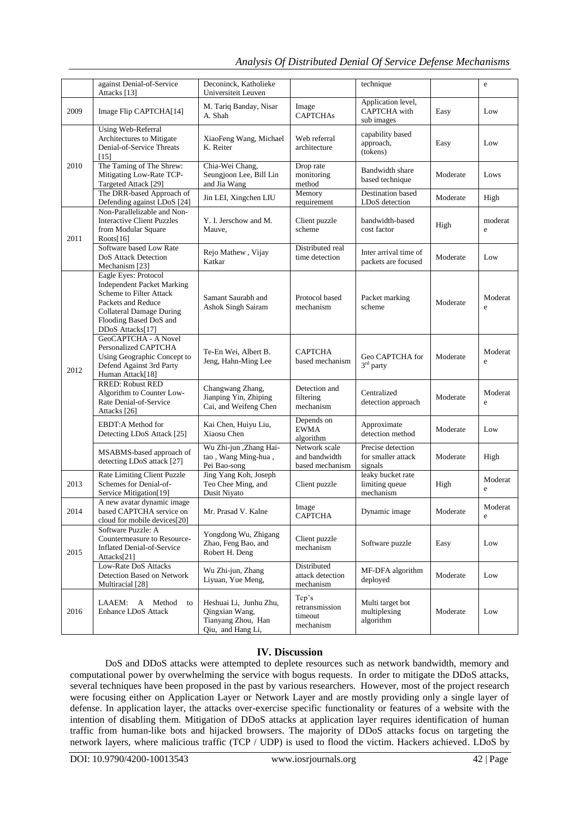|      | against Denial-of-Service<br>Attacks [13]                                                                                                                                                   | Deconinck, Katholieke<br>Universiteit Leuven                                        |                                                   | technique                                               |          | e            |
|------|---------------------------------------------------------------------------------------------------------------------------------------------------------------------------------------------|-------------------------------------------------------------------------------------|---------------------------------------------------|---------------------------------------------------------|----------|--------------|
| 2009 | Image Flip CAPTCHA[14]                                                                                                                                                                      | M. Tariq Banday, Nisar<br>A. Shah                                                   | Image<br><b>CAPTCHAs</b>                          | Application level,<br><b>CAPTCHA</b> with<br>sub images | Easy     | Low          |
| 2010 | <b>Using Web-Referral</b><br>Architectures to Mitigate<br>Denial-of-Service Threats<br>$[15]$                                                                                               | XiaoFeng Wang, Michael<br>K. Reiter                                                 | Web referral<br>architecture                      | capability based<br>approach,<br>(tokens)               | Easy     | Low          |
|      | The Taming of The Shrew:<br>Mitigating Low-Rate TCP-<br>Targeted Attack [29]                                                                                                                | Chia-Wei Chang,<br>Seungjoon Lee, Bill Lin<br>and Jia Wang                          | Drop rate<br>monitoring<br>method                 | Bandwidth share<br>based technique                      | Moderate | Lows         |
|      | The DRR-based Approach of<br>Defending against LDoS [24]                                                                                                                                    | Jin LEI, Xingchen LIU                                                               | Memory<br>requirement                             | Destination based<br>LDoS detection                     | Moderate | High         |
| 2011 | Non-Parallelizable and Non-<br><b>Interactive Client Puzzles</b><br>from Modular Square<br>Roots[16]                                                                                        | Y. I. Jerschow and M.<br>Mauve,                                                     | Client puzzle<br>scheme                           | bandwidth-based<br>cost factor                          | High     | moderat<br>e |
|      | Software based Low Rate<br>DoS Attack Detection<br>Mechanism [23]                                                                                                                           | Rejo Mathew, Vijay<br>Katkar                                                        | Distributed real<br>time detection                | Inter arrival time of<br>packets are focused            | Moderate | Low          |
| 2012 | Eagle Eyes: Protocol<br><b>Independent Packet Marking</b><br>Scheme to Filter Attack<br>Packets and Reduce<br><b>Collateral Damage During</b><br>Flooding Based DoS and<br>DDoS Attacks[17] | Samant Saurabh and<br><b>Ashok Singh Sairam</b>                                     | Protocol based<br>mechanism                       | Packet marking<br>scheme                                | Moderate | Moderat<br>e |
|      | GeoCAPTCHA - A Novel<br>Personalized CAPTCHA<br>Using Geographic Concept to<br>Defend Against 3rd Party<br>Human Attack[18]                                                                 | Te-En Wei, Albert B.<br>Jeng, Hahn-Ming Lee                                         | <b>CAPTCHA</b><br>based mechanism                 | Geo CAPTCHA for<br>$3rd$ party                          | Moderate | Moderat<br>e |
|      | <b>RRED: Robust RED</b><br>Algorithm to Counter Low-<br>Rate Denial-of-Service<br>Attacks [26]                                                                                              | Changwang Zhang,<br>Jianping Yin, Zhiping<br>Cai, and Weifeng Chen                  | Detection and<br>filtering<br>mechanism           | Centralized<br>detection approach                       | Moderate | Moderat<br>e |
|      | EBDT:A Method for<br>Detecting LDoS Attack [25]                                                                                                                                             | Kai Chen, Huiyu Liu,<br>Xiaosu Chen                                                 | Depends on<br><b>EWMA</b><br>algorithm            | Approximate<br>detection method                         | Moderate | Low          |
|      | MSABMS-based approach of<br>detecting LDoS attack [27]                                                                                                                                      | Wu Zhi-jun , Zhang Hai-<br>tao, Wang Ming-hua,<br>Pei Bao-song                      | Network scale<br>and bandwidth<br>based mechanism | Precise detection<br>for smaller attack<br>signals      | Moderate | High         |
| 2013 | <b>Rate Limiting Client Puzzle</b><br>Schemes for Denial-of-<br>Service Mitigation[19]                                                                                                      | Jing Yang Koh, Joseph<br>Teo Chee Ming, and<br>Dusit Niyato                         | Client puzzle                                     | leaky bucket rate<br>limiting queue<br>mechanism        | High     | Moderat<br>e |
| 2014 | A new avatar dynamic image<br>based CAPTCHA service on<br>cloud for mobile devices[20]                                                                                                      | Mr. Prasad V. Kalne                                                                 | Image<br><b>CAPTCHA</b>                           | Dynamic image                                           | Moderate | Moderat<br>e |
| 2015 | Software Puzzle: A<br>Countermeasure to Resource-<br><b>Inflated Denial-of-Service</b><br>Attacks[21]                                                                                       | Yongdong Wu, Zhigang<br>Zhao, Feng Bao, and<br>Robert H. Deng                       | Client puzzle<br>mechanism                        | Software puzzle                                         | Easy     | Low          |
|      | Low-Rate DoS Attacks<br>Detection Based on Network<br>Multiracial [28]                                                                                                                      | Wu Zhi-jun, Zhang<br>Liyuan, Yue Meng,                                              | Distributed<br>attack detection<br>mechanism      | MF-DFA algorithm<br>deployed                            | Moderate | Low          |
| 2016 | LAAEM:<br>A Method<br>to<br>Enhance LDoS Attack                                                                                                                                             | Heshuai Li, Junhu Zhu,<br>Qingxian Wang,<br>Tianyang Zhou, Han<br>Qiu, and Hang Li, | Tcp's<br>retransmission<br>timeout<br>mechanism   | Multi target bot<br>multiplexing<br>algorithm           | Moderate | Low          |

# **IV. Discussion**

DoS and DDoS attacks were attempted to deplete resources such as network bandwidth, memory and computational power by overwhelming the service with bogus requests. In order to mitigate the DDoS attacks, several techniques have been proposed in the past by various researchers. However, most of the project research were focusing either on Application Layer or Network Layer and are mostly providing only a single layer of defense. In application layer, the attacks over-exercise specific functionality or features of a website with the intention of disabling them. Mitigation of DDoS attacks at application layer requires identification of human traffic from human-like bots and hijacked browsers. The majority of DDoS attacks focus on targeting the network layers, where malicious traffic (TCP / UDP) is used to flood the victim. Hackers achieved. LDoS by